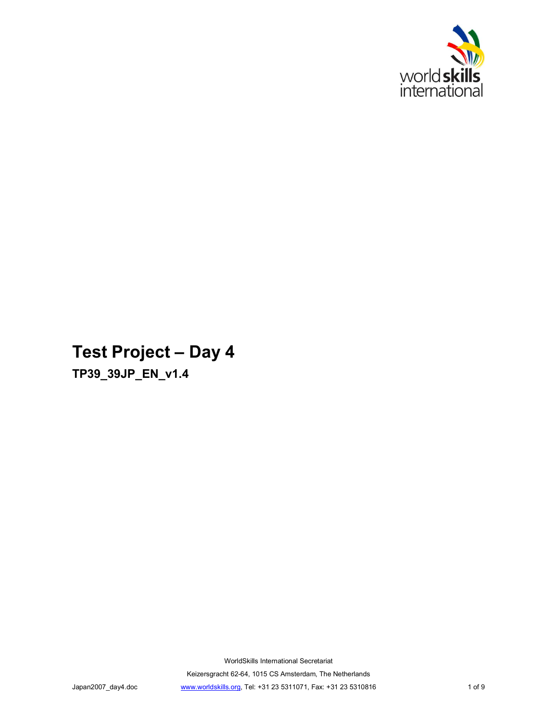

# **Test Project - Day 4**

**TP39\_39JP\_EN\_v1.4**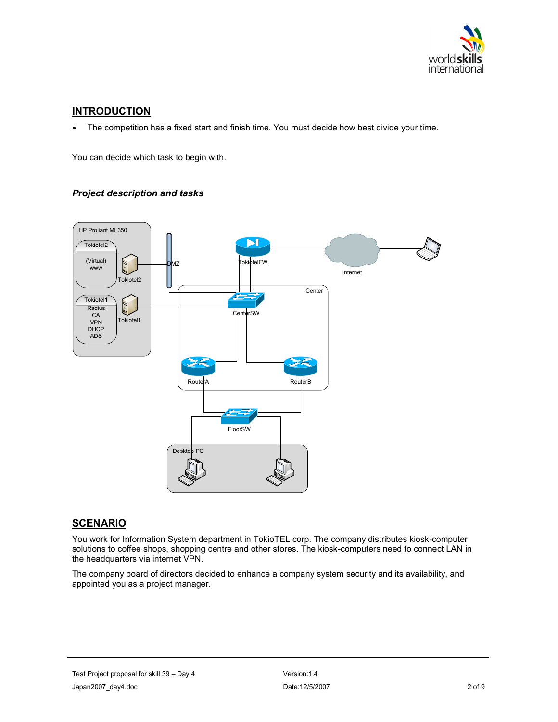

# **INTRODUCTION**

The competition has a fixed start and finish time. You must decide how best divide your time.

You can decide which task to begin with.

# *Project description and tasks*



# **SCENARIO**

You work for Information System department in TokioTEL corp. The company distributes kiosk-computer solutions to coffee shops, shopping centre and other stores. The kiosk-computers need to connect LAN in the headquarters via internet VPN.

The company board of directors decided to enhance a company system security and its availability, and appointed you as a project manager.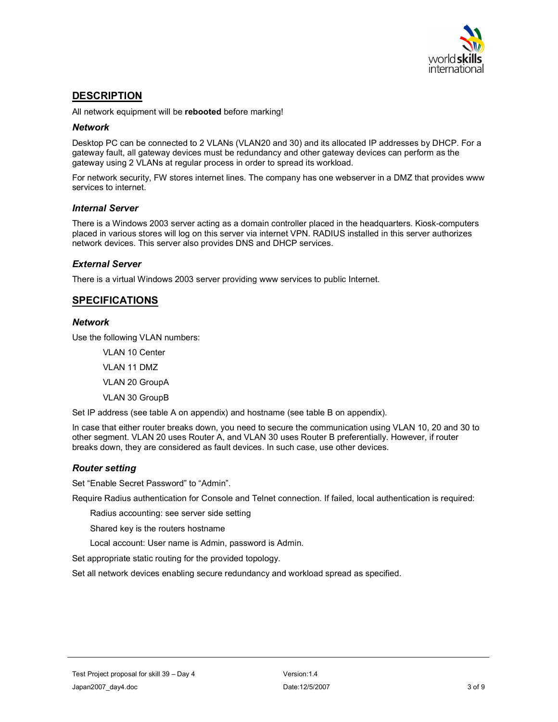

# **DESCRIPTION**

All network equipment will be **rebooted** before marking!

## *Network*

Desktop PC can be connected to 2 VLANs (VLAN20 and 30) and its allocated IP addresses by DHCP. For a gateway fault, all gateway devices must be redundancy and other gateway devices can perform as the gateway using 2 VLANs at regular process in order to spread its workload.

For network security, FW stores internet lines. The company has one webserver in a DMZ that provides www services to internet.

# *Internal Server*

There is a Windows 2003 server acting as a domain controller placed in the headquarters. Kiosk-computers placed in various stores will log on this server via internet VPN. RADIUS installed in this server authorizes network devices. This server also provides DNS and DHCP services.

## *External Server*

There is a virtual Windows 2003 server providing www services to public Internet.

# **SPECIFICATIONS**

## *Network*

Use the following VLAN numbers:

VLAN 10 Center

VLAN 11 DMZ

VLAN 20 GroupA

VLAN 30 GroupB

Set IP address (see table A on appendix) and hostname (see table B on appendix).

In case that either router breaks down, you need to secure the communication using VLAN 10, 20 and 30 to other segment. VLAN 20 uses Router A, and VLAN 30 uses Router B preferentially. However, if router breaks down, they are considered as fault devices. In such case, use other devices.

## *Router setting*

Set "Enable Secret Password" to "Admin".

Require Radius authentication for Console and Telnet connection. If failed, local authentication is required:

Radius accounting: see server side setting

Shared key is the routers hostname

Local account: User name is Admin, password is Admin.

Set appropriate static routing for the provided topology.

Set all network devices enabling secure redundancy and workload spread as specified.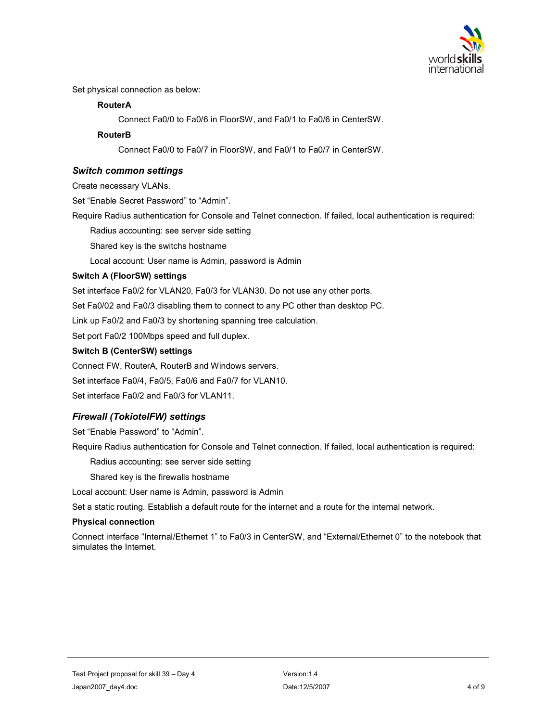

Set physical connection as below:

# **RouterA**

Connect Fa0/0 to Fa0/6 in FloorSW, and Fa0/1 to Fa0/6 in CenterSW.

# **RouterB**

Connect Fa0/0 to Fa0/7 in FloorSW, and Fa0/1 to Fa0/7 in CenterSW.

# *Switch common settings*

Create necessary VLANs.

Set "Enable Secret Password" to "Admin".

Require Radius authentication for Console and Telnet connection. If failed, local authentication is required:

Radius accounting: see server side setting

Shared key is the switchs hostname

Local account: User name is Admin, password is Admin

# **Switch A (FloorSW) settings**

Set interface Fa0/2 for VLAN20, Fa0/3 for VLAN30. Do not use any other ports.

Set Fa0/02 and Fa0/3 disabling them to connect to any PC other than desktop PC.

Link up Fa0/2 and Fa0/3 by shortening spanning tree calculation.

Set port Fa0/2 100Mbps speed and full duplex.

# **Switch B (CenterSW) settings**

Connect FW, RouterA, RouterB and Windows servers. Set interface Fa0/4, Fa0/5, Fa0/6 and Fa0/7 for VLAN10. Set interface Fa0/2 and Fa0/3 for VLAN11.

# *Firewall (TokiotelFW) settings*

Set "Enable Password" to "Admin".

Require Radius authentication for Console and Telnet connection. If failed, local authentication is required:

Radius accounting: see server side setting

Shared key is the firewalls hostname

Local account: User name is Admin, password is Admin

Set a static routing. Establish a default route for the internet and a route for the internal network.

## **Physical connection**

Connect interface "Internal/Ethernet 1" to Fa0/3 in CenterSW, and "External/Ethernet 0" to the notebook that simulates the Internet.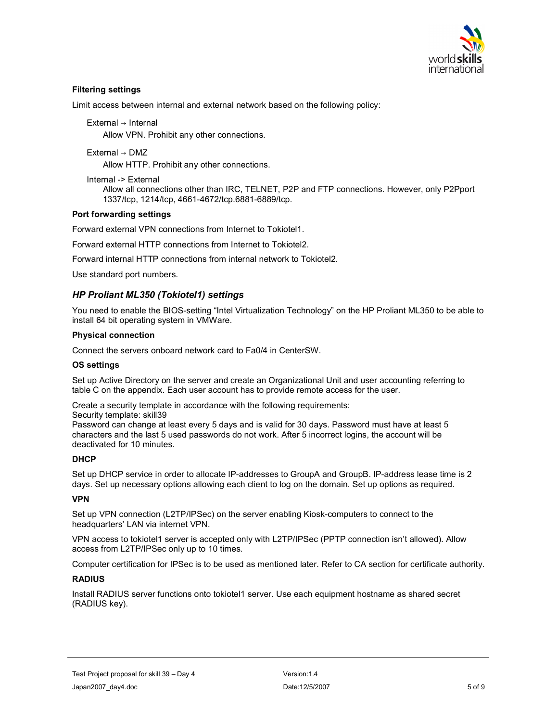

## **Filtering settings**

Limit access between internal and external network based on the following policy:

External → Internal

Allow VPN. Prohibit any other connections.

External DMZ

Allow HTTP. Prohibit any other connections.

Internal -> External

Allow all connections other than IRC, TELNET, P2P and FTP connections. However, only P2Pport 1337/tcp, 1214/tcp, 4661-4672/tcp.6881-6889/tcp.

#### **Port forwarding settings**

Forward external VPN connections from Internet to Tokiotel1.

Forward external HTTP connections from Internet to Tokiotel2.

Forward internal HTTP connections from internal network to Tokiotel2.

Use standard port numbers.

#### *HP Proliant ML350 (Tokiotel1) settings*

You need to enable the BIOS-setting "Intel Virtualization Technology" on the HP Proliant ML350 to be able to install 64 bit operating system in VMWare.

#### **Physical connection**

Connect the servers onboard network card to Fa0/4 in CenterSW.

#### **OS settings**

Set up Active Directory on the server and create an Organizational Unit and user accounting referring to table C on the appendix. Each user account has to provide remote access for the user.

Create a security template in accordance with the following requirements:

Security template: skill39

Password can change at least every 5 days and is valid for 30 days. Password must have at least 5 characters and the last 5 used passwords do not work. After 5 incorrect logins, the account will be deactivated for 10 minutes.

#### **DHCP**

Set up DHCP service in order to allocate IP-addresses to GroupA and GroupB. IP-address lease time is 2 days. Set up necessary options allowing each client to log on the domain. Set up options as required.

#### **VPN**

Set up VPN connection (L2TP/IPSec) on the server enabling Kiosk-computers to connect to the headquarters' LAN via internet VPN.

VPN access to tokiotel1 server is accepted only with L2TP/IPSec (PPTP connection isnít allowed). Allow access from L2TP/IPSec only up to 10 times.

Computer certification for IPSec is to be used as mentioned later. Refer to CA section for certificate authority.

#### **RADIUS**

Install RADIUS server functions onto tokiotel1 server. Use each equipment hostname as shared secret (RADIUS key).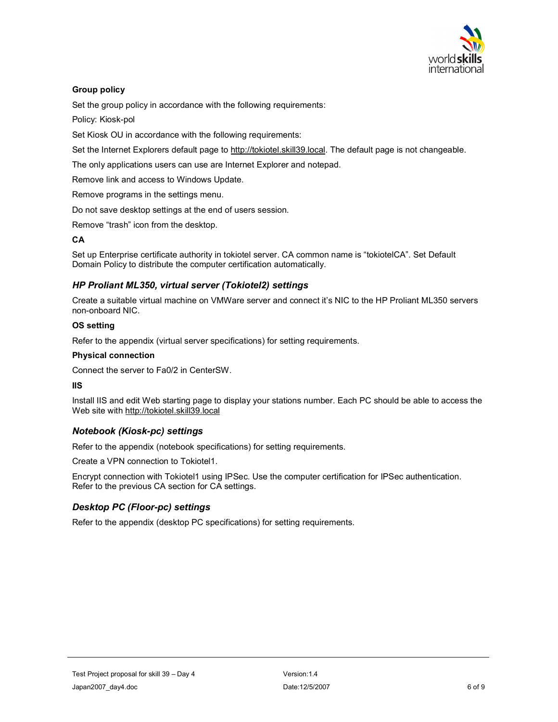

# **Group policy**

Set the group policy in accordance with the following requirements:

Policy: Kiosk-pol

Set Kiosk OU in accordance with the following requirements:

Set the Internet Explorers default page to http://tokiotel.skill39.local. The default page is not changeable.

The only applications users can use are Internet Explorer and notepad.

Remove link and access to Windows Update.

Remove programs in the settings menu.

Do not save desktop settings at the end of users session.

Remove "trash" icon from the desktop.

## **CA**

Set up Enterprise certificate authority in tokiotel server. CA common name is "tokiotelCA". Set Default Domain Policy to distribute the computer certification automatically.

# *HP Proliant ML350, virtual server (Tokiotel2) settings*

Create a suitable virtual machine on VMWare server and connect it's NIC to the HP Proliant ML350 servers non-onboard NIC.

## **OS setting**

Refer to the appendix (virtual server specifications) for setting requirements.

#### **Physical connection**

Connect the server to Fa0/2 in CenterSW.

#### **IIS**

Install IIS and edit Web starting page to display your stations number. Each PC should be able to access the Web site with http://tokiotel.skill39.local

# *Notebook (Kiosk-pc) settings*

Refer to the appendix (notebook specifications) for setting requirements.

Create a VPN connection to Tokiotel1.

Encrypt connection with Tokiotel1 using IPSec. Use the computer certification for IPSec authentication. Refer to the previous CA section for CA settings.

# *Desktop PC (Floor-pc) settings*

Refer to the appendix (desktop PC specifications) for setting requirements.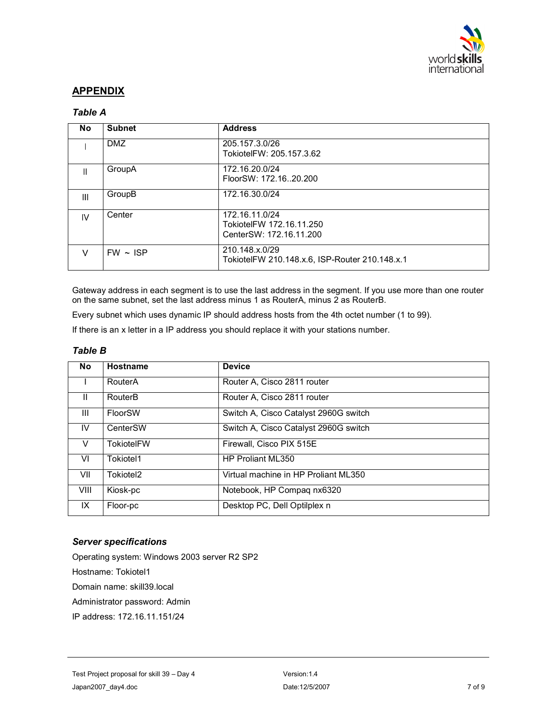

# **APPENDIX**

# *Table A*

| <b>No</b>    | <b>Subnet</b> | <b>Address</b>                                                        |
|--------------|---------------|-----------------------------------------------------------------------|
|              | <b>DMZ</b>    | 205.157.3.0/26<br>TokiotelFW: 205.157.3.62                            |
| Ш            | GroupA        | 172.16.20.0/24<br>FloorSW: 172.1620.200                               |
| Ш            | GroupB        | 172.16.30.0/24                                                        |
| $\mathsf{N}$ | Center        | 172.16.11.0/24<br>TokiotelFW 172.16.11.250<br>CenterSW: 172.16.11.200 |
| V            | $FW - ISP$    | 210.148.x.0/29<br>TokiotelFW 210.148.x.6, ISP-Router 210.148.x.1      |

Gateway address in each segment is to use the last address in the segment. If you use more than one router on the same subnet, set the last address minus 1 as RouterA, minus 2 as RouterB.

Every subnet which uses dynamic IP should address hosts from the 4th octet number (1 to 99).

If there is an x letter in a IP address you should replace it with your stations number.

# *Table B*

| <b>No</b>    | Hostname              | <b>Device</b>                         |  |
|--------------|-----------------------|---------------------------------------|--|
|              | RouterA               | Router A, Cisco 2811 router           |  |
| $\mathbf{H}$ | RouterB               | Router A, Cisco 2811 router           |  |
| Ш            | FloorSW               | Switch A, Cisco Catalyst 2960G switch |  |
| IV.          | CenterSW              | Switch A, Cisco Catalyst 2960G switch |  |
| $\vee$       | <b>TokiotelFW</b>     | Firewall, Cisco PIX 515E              |  |
| VI           | Tokiotel1             | HP Proliant ML350                     |  |
| VII          | Tokiotel <sub>2</sub> | Virtual machine in HP Proliant ML350  |  |
| <b>VIII</b>  | Kiosk-pc              | Notebook, HP Compag nx6320            |  |
| IX           | Floor-pc              | Desktop PC, Dell Optilplex n          |  |

## *Server specifications*

Operating system: Windows 2003 server R2 SP2 Hostname: Tokiotel1 Domain name: skill39.local Administrator password: Admin IP address: 172.16.11.151/24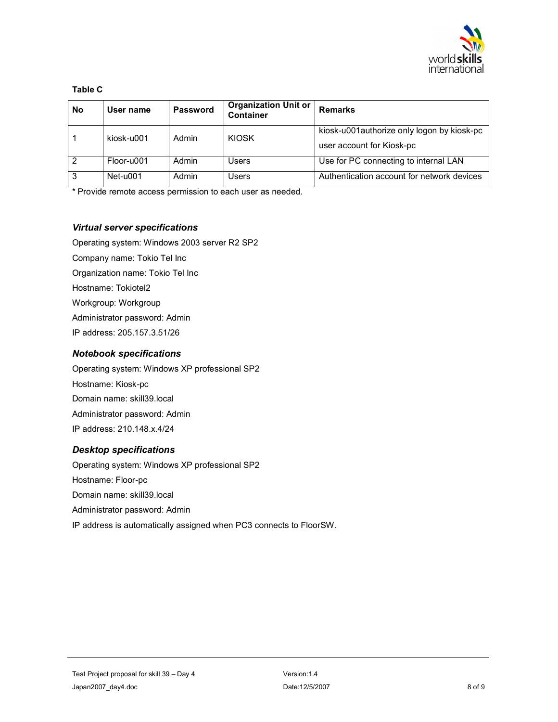

## **Table C**

| <b>No</b> | User name  | <b>Password</b> | <b>Organization Unit or</b><br>Container | <b>Remarks</b>                                                          |
|-----------|------------|-----------------|------------------------------------------|-------------------------------------------------------------------------|
|           | kiosk-u001 | Admin           | <b>KIOSK</b>                             | kiosk-u001authorize only logon by kiosk-pc<br>user account for Kiosk-pc |
| 2         | Floor-u001 | Admin           | Users                                    | Use for PC connecting to internal LAN                                   |
| 3         | Net-u001   | Admin           | Users                                    | Authentication account for network devices                              |

\* Provide remote access permission to each user as needed.

# *Virtual server specifications*

Operating system: Windows 2003 server R2 SP2

Company name: Tokio Tel Inc

Organization name: Tokio Tel Inc

Hostname: Tokiotel2

Workgroup: Workgroup

Administrator password: Admin

IP address: 205.157.3.51/26

# *Notebook specifications*

Operating system: Windows XP professional SP2 Hostname: Kiosk-pc Domain name: skill39.local Administrator password: Admin IP address: 210.148.x.4/24

## *Desktop specifications*

Operating system: Windows XP professional SP2 Hostname: Floor-pc Domain name: skill39.local Administrator password: Admin IP address is automatically assigned when PC3 connects to FloorSW.